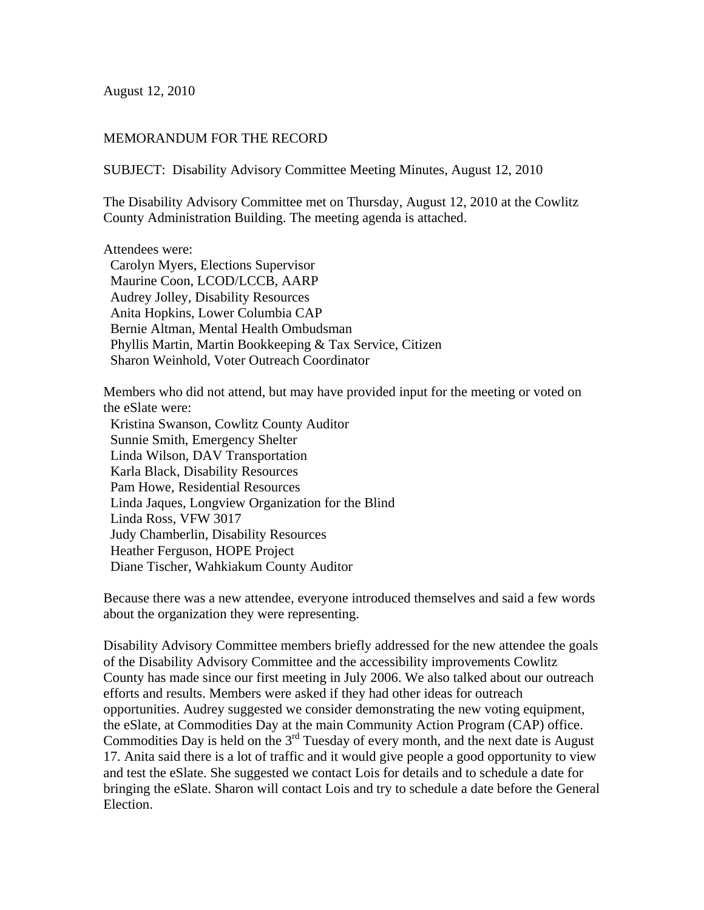August 12, 2010

## MEMORANDUM FOR THE RECORD

SUBJECT: Disability Advisory Committee Meeting Minutes, August 12, 2010

The Disability Advisory Committee met on Thursday, August 12, 2010 at the Cowlitz County Administration Building. The meeting agenda is attached.

Attendees were:

 Carolyn Myers, Elections Supervisor Maurine Coon, LCOD/LCCB, AARP Audrey Jolley, Disability Resources Anita Hopkins, Lower Columbia CAP Bernie Altman, Mental Health Ombudsman Phyllis Martin, Martin Bookkeeping & Tax Service, Citizen Sharon Weinhold, Voter Outreach Coordinator

Members who did not attend, but may have provided input for the meeting or voted on the eSlate were:

 Kristina Swanson, Cowlitz County Auditor Sunnie Smith, Emergency Shelter Linda Wilson, DAV Transportation Karla Black, Disability Resources Pam Howe, Residential Resources Linda Jaques, Longview Organization for the Blind Linda Ross, VFW 3017 Judy Chamberlin, Disability Resources Heather Ferguson, HOPE Project Diane Tischer, Wahkiakum County Auditor

Because there was a new attendee, everyone introduced themselves and said a few words about the organization they were representing.

Disability Advisory Committee members briefly addressed for the new attendee the goals of the Disability Advisory Committee and the accessibility improvements Cowlitz County has made since our first meeting in July 2006. We also talked about our outreach efforts and results. Members were asked if they had other ideas for outreach opportunities. Audrey suggested we consider demonstrating the new voting equipment, the eSlate, at Commodities Day at the main Community Action Program (CAP) office. Commodities Day is held on the 3<sup>rd</sup> Tuesday of every month, and the next date is August 17. Anita said there is a lot of traffic and it would give people a good opportunity to view and test the eSlate. She suggested we contact Lois for details and to schedule a date for bringing the eSlate. Sharon will contact Lois and try to schedule a date before the General Election.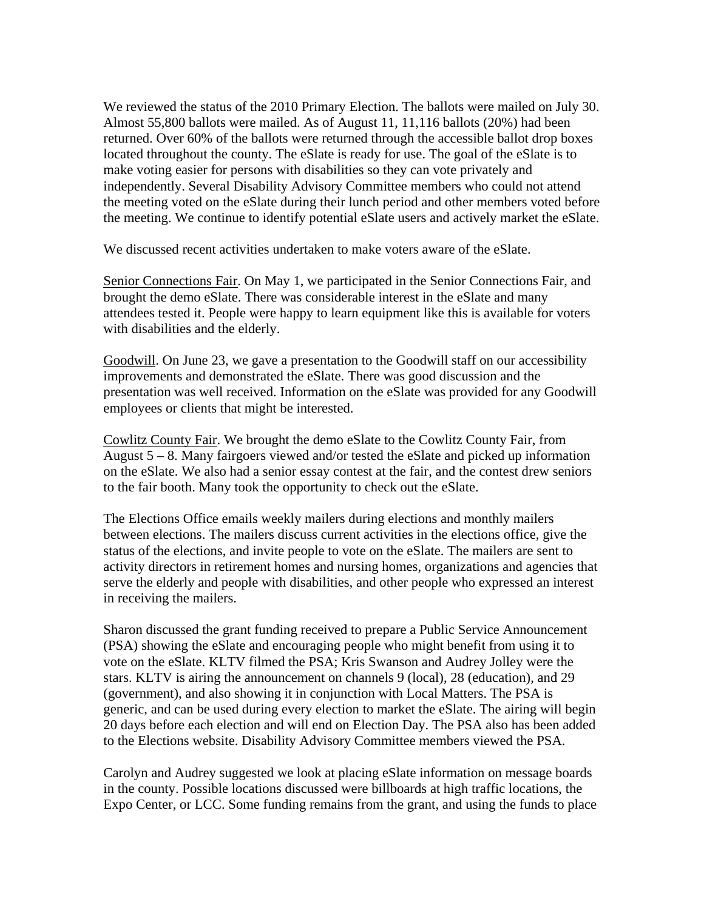We reviewed the status of the 2010 Primary Election. The ballots were mailed on July 30. Almost 55,800 ballots were mailed. As of August 11, 11,116 ballots (20%) had been returned. Over 60% of the ballots were returned through the accessible ballot drop boxes located throughout the county. The eSlate is ready for use. The goal of the eSlate is to make voting easier for persons with disabilities so they can vote privately and independently. Several Disability Advisory Committee members who could not attend the meeting voted on the eSlate during their lunch period and other members voted before the meeting. We continue to identify potential eSlate users and actively market the eSlate.

We discussed recent activities undertaken to make voters aware of the eSlate.

Senior Connections Fair. On May 1, we participated in the Senior Connections Fair, and brought the demo eSlate. There was considerable interest in the eSlate and many attendees tested it. People were happy to learn equipment like this is available for voters with disabilities and the elderly.

Goodwill. On June 23, we gave a presentation to the Goodwill staff on our accessibility improvements and demonstrated the eSlate. There was good discussion and the presentation was well received. Information on the eSlate was provided for any Goodwill employees or clients that might be interested.

Cowlitz County Fair. We brought the demo eSlate to the Cowlitz County Fair, from August 5 – 8. Many fairgoers viewed and/or tested the eSlate and picked up information on the eSlate. We also had a senior essay contest at the fair, and the contest drew seniors to the fair booth. Many took the opportunity to check out the eSlate.

The Elections Office emails weekly mailers during elections and monthly mailers between elections. The mailers discuss current activities in the elections office, give the status of the elections, and invite people to vote on the eSlate. The mailers are sent to activity directors in retirement homes and nursing homes, organizations and agencies that serve the elderly and people with disabilities, and other people who expressed an interest in receiving the mailers.

Sharon discussed the grant funding received to prepare a Public Service Announcement (PSA) showing the eSlate and encouraging people who might benefit from using it to vote on the eSlate. KLTV filmed the PSA; Kris Swanson and Audrey Jolley were the stars. KLTV is airing the announcement on channels 9 (local), 28 (education), and 29 (government), and also showing it in conjunction with Local Matters. The PSA is generic, and can be used during every election to market the eSlate. The airing will begin 20 days before each election and will end on Election Day. The PSA also has been added to the Elections website. Disability Advisory Committee members viewed the PSA.

Carolyn and Audrey suggested we look at placing eSlate information on message boards in the county. Possible locations discussed were billboards at high traffic locations, the Expo Center, or LCC. Some funding remains from the grant, and using the funds to place